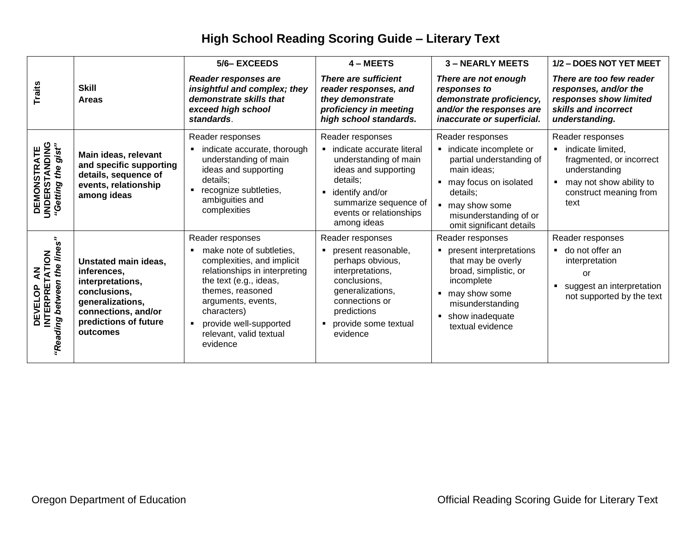## **High School Reading Scoring Guide – Literary Text**

|                                                                     |                                                                                                                                                         | 5/6-EXCEEDS                                                                                                                                                                                                                                                                                         | 4 - MEETS                                                                                                                                                                                                            | <b>3-NEARLY MEETS</b>                                                                                                                                                                                   | 1/2 - DOES NOT YET MEET                                                                                                                         |
|---------------------------------------------------------------------|---------------------------------------------------------------------------------------------------------------------------------------------------------|-----------------------------------------------------------------------------------------------------------------------------------------------------------------------------------------------------------------------------------------------------------------------------------------------------|----------------------------------------------------------------------------------------------------------------------------------------------------------------------------------------------------------------------|---------------------------------------------------------------------------------------------------------------------------------------------------------------------------------------------------------|-------------------------------------------------------------------------------------------------------------------------------------------------|
| <b>Traits</b>                                                       | <b>Skill</b><br><b>Areas</b>                                                                                                                            | Reader responses are<br>insightful and complex; they<br>demonstrate skills that<br>exceed high school<br>standards.                                                                                                                                                                                 | <b>There are sufficient</b><br>reader responses, and<br>they demonstrate<br>proficiency in meeting<br>high school standards.                                                                                         | There are not enough<br>responses to<br>demonstrate proficiency,<br>and/or the responses are<br>inaccurate or superficial.                                                                              | There are too few reader<br>responses, and/or the<br>responses show limited<br>skills and incorrect<br>understanding.                           |
| <b>DEMONSTRATE<br/>UNDERSTANDING<br/>"Getting the gist"</b>         | Main ideas, relevant<br>and specific supporting<br>details, sequence of<br>events, relationship<br>among ideas                                          | Reader responses<br>indicate accurate, thorough<br>understanding of main<br>ideas and supporting<br>details;<br>recognize subtleties,<br>$\blacksquare$<br>ambiguities and<br>complexities                                                                                                          | Reader responses<br>· indicate accurate literal<br>understanding of main<br>ideas and supporting<br>details;<br>identify and/or<br>$\blacksquare$<br>summarize sequence of<br>events or relationships<br>among ideas | Reader responses<br>· indicate incomplete or<br>partial understanding of<br>main ideas;<br>• may focus on isolated<br>details;<br>■ may show some<br>misunderstanding of or<br>omit significant details | Reader responses<br>indicate limited,<br>fragmented, or incorrect<br>understanding<br>may not show ability to<br>construct meaning from<br>text |
| <b>DEVELOP AN<br/>INTERPRETATION</b><br>"Reading between the lines" | Unstated main ideas,<br>inferences,<br>interpretations,<br>conclusions,<br>generalizations,<br>connections, and/or<br>predictions of future<br>outcomes | Reader responses<br>make note of subtleties,<br>$\blacksquare$<br>complexities, and implicit<br>relationships in interpreting<br>the text (e.g., ideas,<br>themes, reasoned<br>arguments, events,<br>characters)<br>provide well-supported<br>$\blacksquare$<br>relevant, valid textual<br>evidence | Reader responses<br>present reasonable,<br>perhaps obvious,<br>interpretations,<br>conclusions,<br>generalizations,<br>connections or<br>predictions<br>provide some textual<br>evidence                             | Reader responses<br>• present interpretations<br>that may be overly<br>broad, simplistic, or<br>incomplete<br>■ may show some<br>misunderstanding<br>• show inadequate<br>textual evidence              | Reader responses<br>do not offer an<br>interpretation<br>or<br>suggest an interpretation<br>not supported by the text                           |
|                                                                     | Oregon Department of Education                                                                                                                          |                                                                                                                                                                                                                                                                                                     |                                                                                                                                                                                                                      |                                                                                                                                                                                                         | <b>Official Reading Scoring Guide for Literary Text</b>                                                                                         |